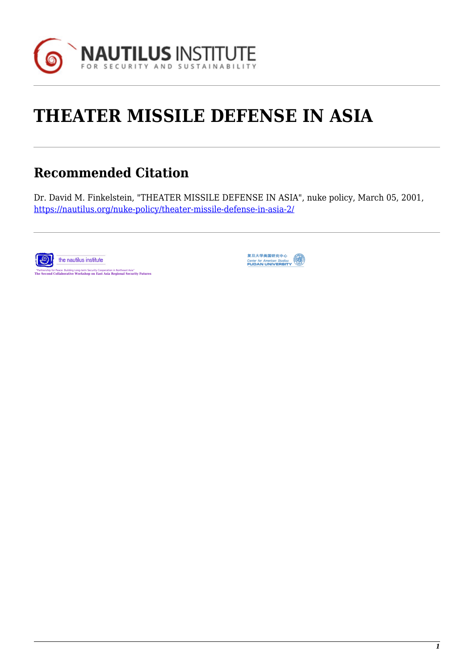

# **THEATER MISSILE DEFENSE IN ASIA**

## **Recommended Citation**

Dr. David M. Finkelstein, "THEATER MISSILE DEFENSE IN ASIA", nuke policy, March 05, 2001, <https://nautilus.org/nuke-policy/theater-missile-defense-in-asia-2/>



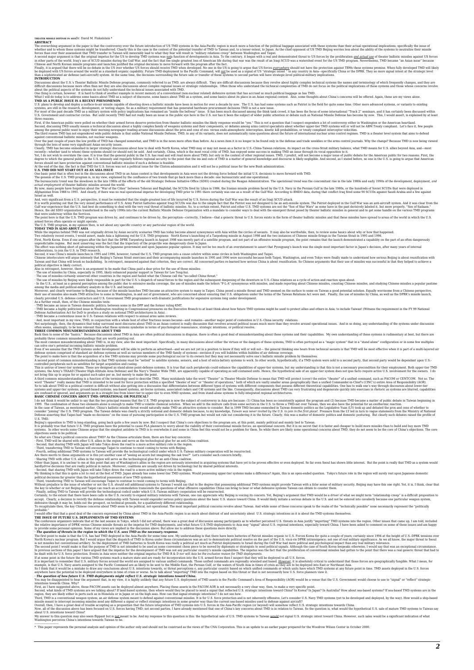The overarching argument in the species that the control Gerain Harbor Constant opposite the function of US TMD spains in the Asia Pacific region is much non a simple of US TMD Beijing worries less about the ability of th

INTRODUCTION<br>Discussions about the U.S.'s Theater Ballistic Missile Defense programs, commonly referred to as TMD, are always difficult. They are difficult discussions because they revolve about highly complex technical sy

U.S. plans to develop and deploy a surface-to-air missile capable of shooting down a ballistic missile and to move about a mean of the Shankow are preceded hardware procurement decisions TMD is not a new issue systems such

three reasons.<br>First, if the American public were polled on whether their armed forces deserve protection from theater ballistic misslies the likely response would be "yes." This is not a question that I suspect engenders

Over the past couple of years the low profile of TMD has changed somewhat, and TMD is in the news more often than before. As a news item it is no longer to be found only in the defense and trade weeklies or the arms contro through the lens of some very significant Asian security issues.

Clearly. WD has become emeshed in larger straige discussions about how to deal with North Korea, what ThU may or may near not mean as factor in U.S. allies beyond Asia, and-most orcest.<br>Technical converse the may be some t

One basic point hat is often lost in the discussions about TMD in an Asian context is that developments in Asian were not he driving force behaved by the confluence of two trends that go hack move that a decade: one bureau

Israel as well.<br>And, very significant from a U.S. perspective, it must be reminded that the single greatest loss of life incurred by U.S. forces during the Gulf War was the result of an Iraqi SCUD attack.<br>And, very signifi

TOMAT TOM IS ALSO ABOUT ASIA.<br>While the impetus behind TND was not originally driven by Asian security scenarios TMD has today become almost synonymous with Asia within the circles of savants. It may also be worthwhile, th

Also in etrospect, however, there is an argument to be made that China paid a deta price for the use of these and substitutes in a due to present the DFRs in states by China, especially in 1995, likely enhanced popular sup

- TMD became a highly politicized issue in Washington resulting in Congressional present to a helecturive Brach to at least think about how future TMD systems might be used to protect allies and others in Asia, to include

THREE COMMON MISUNDERSTANDINGS ABOUT TMD<br>Back the no some of the "basics." Because discussions in a kloudy MD in Asia are often political discussions in disguise, there is often a good deal of misunderstanding about these

The most common misunderstanding about TMD is, in my view, also the most important. Specifically, in many discussions about either the virtues or the angers of these systems, TMD is due nortrayed as a "magic system" that i

1990. The combination of those two elements alone is mough to make TMD and the chemical solution. When we add to the mixture calls from some set of the interest is then a be a because. In the D.S. to throw a TMD-net are th

### U.S. TMD.<br>Beijing's opposition to TMD is long-standing, going back quite a few years by now. But I suspect that China's core objections to the program are, at this point, mainly political and mainly tled to Taiwan.<br>It is p

It is probably true that future U.S. TMD programs have the potential to cause PIA planners to worry about the<br>systems. In other words some Chinese argue that the simplest antidote to TMD is to overwhelm it and some in<br>obje

So what are China's politica concerns about TMP? As the Chinese articulate them, there are four key concerns:<br>- First, TMD will be shared with other U.S. allies in the region will have Tokyo down the road to a nore active

hardly dive decisions that are really political in nature. Moreover, coalitios are usually not divend by the produced interests.<br>have Second, that sharing TMD with Japan will have Moreover, coalities are usually not increa

I would offer that has good deal of the concern expressed by China about TMD in the Asia-Pacific region is as much about distrust of and uncertainty about U.S. strategic intentions as it is about the TMD systems themselves

• The question of threats in the region to which the U.S. he The Papple of the N.S. ees TMD assets prespanse. weepon the meets and are ready for involved in the region of the Region to the N.S. Development in the meets of

intentions towards China. Why?<br>First, as I have suggested above, those PACOM assets can be deployed almost anywhere. Placing these assets in the PACOM AOR is not necessarily a very clear way, then, to make a very specific

about U.S. intentions toward China?<br>My answer to this question may also seem flippant but is <u>not m</u>eant to be. And my response to this question is this: the hypothetical sale of U.S. TMD systems to Taiwan <u>would</u> not sign

------------------------- ents the nersonal analysis and oninion of the author only and should not be construed as the views of The CNA Corporation. This is an update to an earlier paper prepared for the Woodrow Wilson Center in October 2000